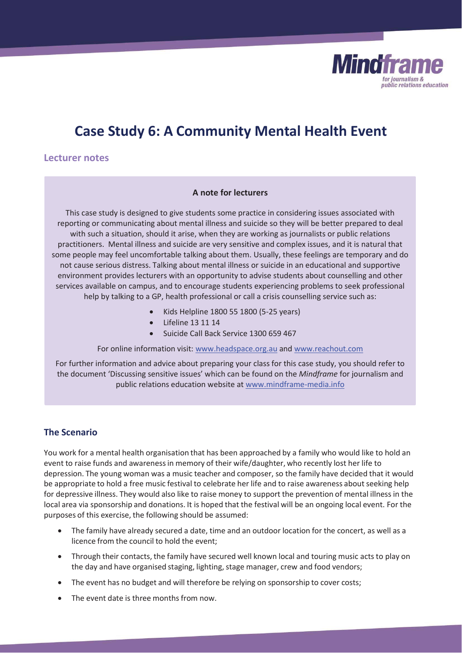

# **Case Study 6: A Community Mental Health Event**

**Lecturer notes** 

#### **A note for lecturers**

This case study is designed to give students some practice in considering issues associated with reporting or communicating about mental illness and suicide so they will be better prepared to deal with such a situation, should it arise, when they are working as journalists or public relations practitioners. Mental illness and suicide are very sensitive and complex issues, and it is natural that some people may feel uncomfortable talking about them. Usually, these feelings are temporary and do not cause serious distress. Talking about mental illness or suicide in an educational and supportive environment provides lecturers with an opportunity to advise students about counselling and other services available on campus, and to encourage students experiencing problems to seek professional help by talking to a GP, health professional or call a crisis counselling service such as:

- x Kids Helpline 1800 55 1800 (5-25 years)
- x Lifeline 13 11 14
- Suicide Call Back Service 1300 659 467

For online information visit: www.headspace.org.au and www.reachout.com

For further information and advice about preparing your class for this case study, you should refer to the document 'Discussing sensitive issues' which can be found on the *Mindframe* for journalism and public relations education website at www.mindframe-media.info

# **The Scenario**

You work for a mental health organisation that has been approached by a family who would like to hold an event to raise funds and awareness in memory of their wife/daughter, who recently lost her life to depression. The young woman was a music teacher and composer, so the family have decided that it would be appropriate to hold a free music festival to celebrate her life and to raise awareness about seeking help for depressive illness. They would also like to raise money to support the prevention of mental illness in the local area via sponsorship and donations. It is hoped that the festival will be an ongoing local event. For the purposes of this exercise, the following should be assumed:

- The family have already secured a date, time and an outdoor location for the concert, as well as a licence from the council to hold the event;
- Through their contacts, the family have secured well known local and touring music acts to play on the day and have organised staging, lighting, stage manager, crew and food vendors;
- The event has no budget and will therefore be relying on sponsorship to cover costs;
- The event date is three months from now.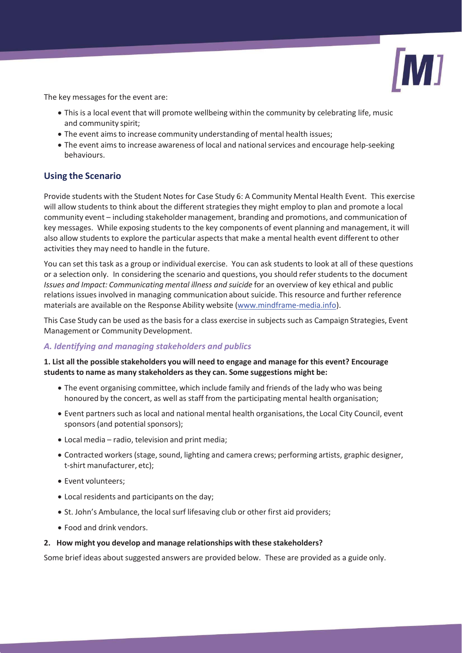

The key messages for the event are:

- This is a local event that will promote wellbeing within the community by celebrating life, music and community spirit;
- The event aims to increase community understanding of mental health issues;
- The event aims to increase awareness of local and national services and encourage help-seeking behaviours.

# **Using the Scenario**

Provide students with the Student Notes for Case Study 6: A Community Mental Health Event. This exercise will allow students to think about the different strategies they might employ to plan and promote a local community event – including stakeholder management, branding and promotions, and communication of key messages. While exposing students to the key components of event planning and management, it will also allow students to explore the particular aspects that make a mental health event different to other activities they may need to handle in the future.

You can set this task as a group or individual exercise. You can ask students to look at all of these questions or a selection only. In considering the scenario and questions, you should refer students to the document *Issues and Impact: Communicating mental illness and suicide* for an overview of key ethical and public relations issues involved in managing communication about suicide. This resource and further reference materials are available on the Response Ability website (www.mindframe-media.info).

This Case Study can be used as the basis for a class exercise in subjects such as Campaign Strategies, Event Management or Community Development.

#### *A. Identifying and managing stakeholders and publics*

# **1. List all the possible stakeholders you will need to engage and manage for this event? Encourage students to name as many stakeholders as they can. Some suggestions might be:**

- The event organising committee, which include family and friends of the lady who was being honoured by the concert, as well as staff from the participating mental health organisation;
- x Event partners such as local and national mental health organisations, the Local City Council, event sponsors (and potential sponsors);
- $\bullet$  Local media radio, television and print media;
- Contracted workers (stage, sound, lighting and camera crews; performing artists, graphic designer, t-shirt manufacturer, etc);
- Event volunteers:
- Local residents and participants on the day;
- St. John's Ambulance, the local surf lifesaving club or other first aid providers;
- Food and drink vendors.

#### **2. How might you develop and manage relationships with these stakeholders?**

Some brief ideas about suggested answers are provided below. These are provided as a guide only.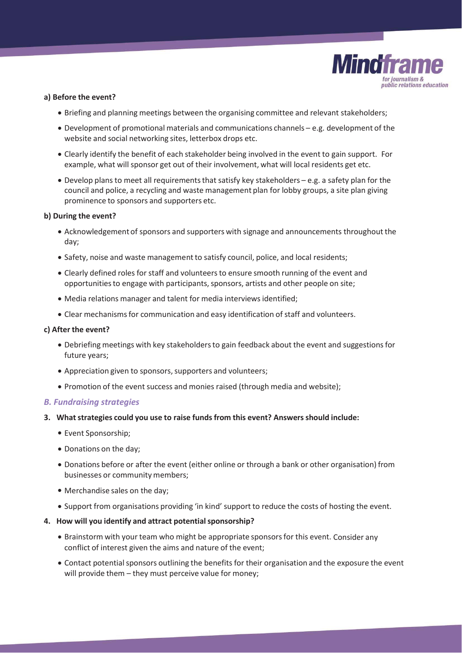

#### **a) Before the event?**

- Briefing and planning meetings between the organising committee and relevant stakeholders;
- $\bullet$  Development of promotional materials and communications channels e.g. development of the website and social networking sites, letterbox drops etc.
- Clearly identify the benefit of each stakeholder being involved in the event to gain support. For example, what will sponsor get out of their involvement, what will local residents get etc.
- $\bullet$  Develop plans to meet all requirements that satisfy key stakeholders e.g. a safety plan for the council and police, a recycling and waste management plan for lobby groups, a site plan giving prominence to sponsors and supporters etc.

#### **b) During the event?**

- Acknowledgement of sponsors and supporters with signage and announcements throughout the day;
- Safety, noise and waste management to satisfy council, police, and local residents;
- Clearly defined roles for staff and volunteers to ensure smooth running of the event and opportunities to engage with participants, sponsors, artists and other people on site;
- Media relations manager and talent for media interviews identified;
- Clear mechanisms for communication and easy identification of staff and volunteers.

#### **c) After the event?**

- x Debriefing meetings with key stakeholders to gain feedback about the event and suggestions for future years;
- Appreciation given to sponsors, supporters and volunteers;
- Promotion of the event success and monies raised (through media and website);

#### *B. Fundraising strategies*

- **3. What strategies could you use to raise funds from this event? Answers should include:** 
	- Event Sponsorship;
	- Donations on the day;
	- Donations before or after the event (either online or through a bank or other organisation) from businesses or community members;
	- Merchandise sales on the day;
	- Support from organisations providing 'in kind' support to reduce the costs of hosting the event.
- **4. How will you identify and attract potential sponsorship?** 
	- Brainstorm with your team who might be appropriate sponsors for this event. Consider any conflict of interest given the aims and nature of the event;
	- Contact potential sponsors outlining the benefits for their organisation and the exposure the event will provide them - they must perceive value for money;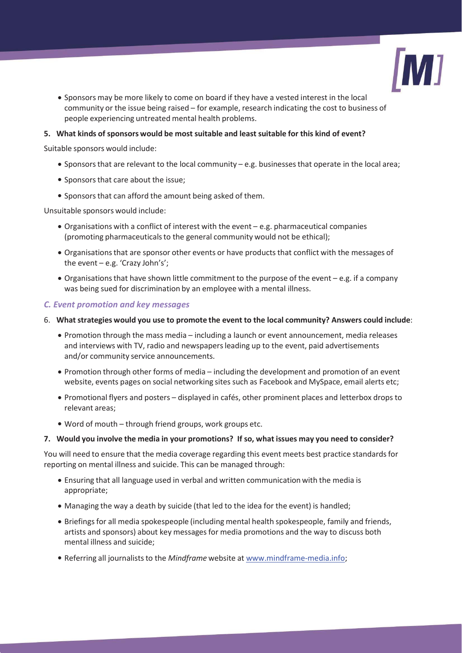

x Sponsors may be more likely to come on board if they have a vested interest in the local community or the issue being raised – for example, research indicating the cost to business of people experiencing untreated mental health problems.

### **5. What kinds of sponsors would be most suitable and least suitable for this kind of event?**

Suitable sponsors would include:

- Sponsors that are relevant to the local community e.g. businesses that operate in the local area;
- Sponsors that care about the issue;
- Sponsors that can afford the amount being asked of them.

Unsuitable sponsors would include:

- $\bullet$  Organisations with a conflict of interest with the event e.g. pharmaceutical companies (promoting pharmaceuticals to the general community would not be ethical);
- Organisations that are sponsor other events or have products that conflict with the messages of the event – e.g. 'Crazy John's';
- Organisations that have shown little commitment to the purpose of the event e.g. if a company was being sued for discrimination by an employee with a mental illness.

#### *C. Event promotion and key messages*

- 6. **What strategies would you use to promote the event to the local community? Answers could include**:
	- Promotion through the mass media including a launch or event announcement, media releases and interviews with TV, radio and newspapers leading up to the event, paid advertisements and/or community service announcements.
	- Promotion through other forms of media including the development and promotion of an event website, events pages on social networking sites such as Facebook and MySpace, email alerts etc;
	- Promotional flyers and posters displayed in cafés, other prominent places and letterbox drops to relevant areas;
	- Word of mouth through friend groups, work groups etc.

#### **7. Would you involve the media in your promotions? If so, what issues may you need to consider?**

You will need to ensure that the media coverage regarding this event meets best practice standards for reporting on mental illness and suicide. This can be managed through:

- Ensuring that all language used in verbal and written communication with the media is appropriate;
- Managing the way a death by suicide (that led to the idea for the event) is handled;
- Briefings for all media spokespeople (including mental health spokespeople, family and friends, artists and sponsors) about key messages for media promotions and the way to discuss both mental illness and suicide;
- x Referring all journalists to the *Mindframe* website at www.mindframe-media.info;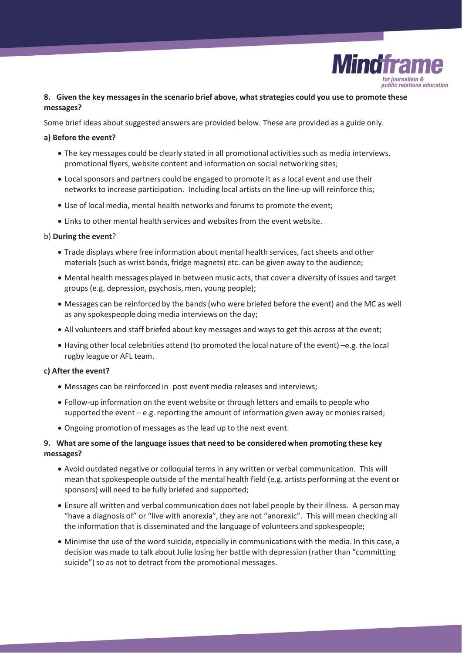

# **8. Given the key messages in the scenario brief above, what strategies could you use to promote these messages?**

Some brief ideas about suggested answers are provided below. These are provided as a guide only.

#### **a) Before the event?**

- The key messages could be clearly stated in all promotional activities such as media interviews, promotional flyers, website content and information on social networking sites;
- Local sponsors and partners could be engaged to promote it as a local event and use their networks to increase participation. Including local artists on the line-up will reinforce this;
- Use of local media, mental health networks and forums to promote the event;
- Links to other mental health services and websites from the event website.

#### b) **During the event**?

- Trade displays where free information about mental health services, fact sheets and other materials (such as wrist bands, fridge magnets) etc. can be given away to the audience;
- Mental health messages played in between music acts, that cover a diversity of issues and target groups (e.g. depression, psychosis, men, young people);
- x Messages can be reinforced by the bands (who were briefed before the event) and the MC as well as any spokespeople doing media interviews on the day;
- All volunteers and staff briefed about key messages and ways to get this across at the event;
- $\bullet$  Having other local celebrities attend (to promoted the local nature of the event) –e.g. the local rugby league or AFL team.

# **c) After the event?**

- Messages can be reinforced in post event media releases and interviews;
- Follow-up information on the event website or through letters and emails to people who supported the event – e.g. reporting the amount of information given away or monies raised;
- Ongoing promotion of messages as the lead up to the next event.

# **9. What are some of the language issues that need to be considered when promoting these key messages?**

- x Avoid outdated negative or colloquial terms in any written or verbal communication. This will mean that spokespeople outside of the mental health field (e.g. artists performing at the event or sponsors) will need to be fully briefed and supported;
- Ensure all written and verbal communication does not label people by their illness. A person may "have a diagnosis of" or "live with anorexia", they are not "anorexic". This will mean checking all the information that is disseminated and the language of volunteers and spokespeople;
- Minimise the use of the word suicide, especially in communications with the media. In this case, a decision was made to talk about Julie losing her battle with depression (rather than "committing suicide") so as not to detract from the promotional messages.